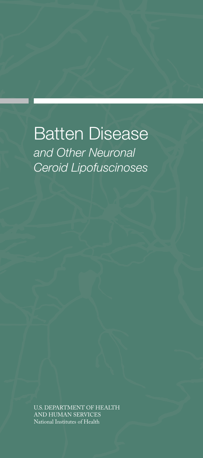Batten Disease *and Other Neuronal Ceroid Lipofuscinoses* 

U.S. DEPARTMENT OF HEALTH AND HUMAN SERVICES National Institutes of Health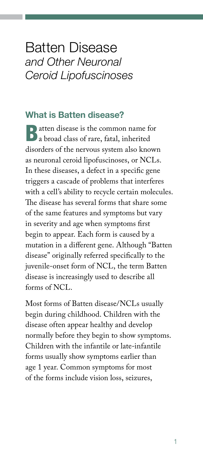# Batten Disease *and Other Neuronal Ceroid Lipofuscinoses*

### What is Batten disease?

Batten disease is the common name for a broad class of rare, fatal, inherited disorders of the nervous system also known as neuronal ceroid lipofuscinoses, or NCLs. In these diseases, a defect in a specific gene triggers a cascade of problems that interferes with a cell's ability to recycle certain molecules. The disease has several forms that share some of the same features and symptoms but vary in severity and age when symptoms first begin to appear. Each form is caused by a mutation in a different gene. Although "Batten disease" originally referred specifically to the juvenile-onset form of NCL, the term Batten disease is increasingly used to describe all forms of NCL.

Most forms of Batten disease/NCLs usually begin during childhood. Children with the disease often appear healthy and develop normally before they begin to show symptoms. Children with the infantile or late-infantile forms usually show symptoms earlier than age 1 year. Common symptoms for most of the forms include vision loss, seizures,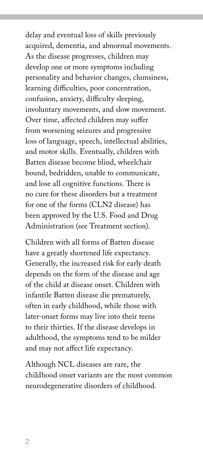delay and eventual loss of skills previously acquired, dementia, and abnormal movements. As the disease progresses, children may develop one or more symptoms including personality and behavior changes, clumsiness, learning difficulties, poor concentration, confusion, anxiety, difficulty sleeping, involuntary movements, and slow movement. Over time, affected children may suffer from worsening seizures and progressive loss of language, speech, intellectual abilities, and motor skills. Eventually, children with Batten disease become blind, wheelchair bound, bedridden, unable to communicate, and lose all cognitive functions. There is no cure for these disorders but a treatment for one of the forms (CLN2 disease) has been approved by the U.S. Food and Drug Administration (see Treatment section).

Children with all forms of Batten disease have a greatly shortened life expectancy. Generally, the increased risk for early death depends on the form of the disease and age of the child at disease onset. Children with infantile Batten disease die prematurely, often in early childhood, while those with later-onset forms may live into their teens to their thirties. If the disease develops in adulthood, the symptoms tend to be milder and may not affect life expectancy.

Although NCL diseases are rare, the childhood onset variants are the most common neurodegenerative disorders of childhood.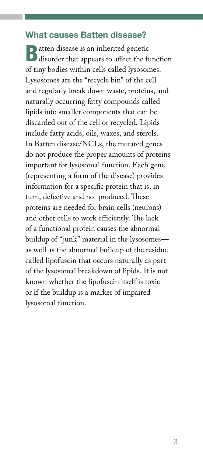#### What causes Batten disease?

Batten disease is an inherited genetic disorder that appears to affect the function of tiny bodies within cells called lysosomes. Lysosomes are the "recycle bin" of the cell and regularly break down waste, proteins, and naturally occurring fatty compounds called lipids into smaller components that can be discarded out of the cell or recycled. Lipids include fatty acids, oils, waxes, and sterols. In Batten disease/NCLs, the mutated genes do not produce the proper amounts of proteins important for lysosomal function. Each gene (representing a form of the disease) provides information for a specific protein that is, in turn, defective and not produced. These proteins are needed for brain cells (neurons) and other cells to work efficiently. The lack of a functional protein causes the abnormal buildup of "junk" material in the lysosomes as well as the abnormal buildup of the residue called lipofuscin that occurs naturally as part of the lysosomal breakdown of lipids. It is not known whether the lipofuscin itself is toxic or if the buildup is a marker of impaired lysosomal function.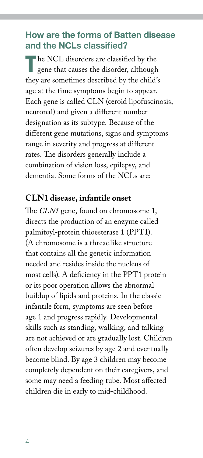## How are the forms of Batten disease and the NCLs classified?

The NCL disorders are classified by the gene that causes the disorder, although they are sometimes described by the child's age at the time symptoms begin to appear. Each gene is called CLN (ceroid lipofuscinosis, neuronal) and given a different number designation as its subtype. Because of the different gene mutations, signs and symptoms range in severity and progress at different rates. The disorders generally include a combination of vision loss, epilepsy, and dementia. Some forms of the NCLs are:

#### **CLN1 disease, infantile onset**

The *CLN1* gene, found on chromosome 1, directs the production of an enzyme called palmitoyl-protein thioesterase 1 (PPT1). (A chromosome is a threadlike structure that contains all the genetic information needed and resides inside the nucleus of most cells). A deficiency in the PPT1 protein or its poor operation allows the abnormal buildup of lipids and proteins. In the classic infantile form, symptoms are seen before age 1 and progress rapidly. Developmental skills such as standing, walking, and talking are not achieved or are gradually lost. Children often develop seizures by age 2 and eventually become blind. By age 3 children may become completely dependent on their caregivers, and some may need a feeding tube. Most affected children die in early to mid-childhood.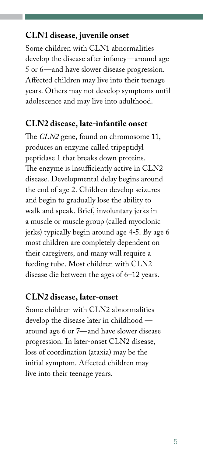### **CLN1 disease, juvenile onset**

Some children with CLN1 abnormalities develop the disease after infancy—around age 5 or 6—and have slower disease progression. Affected children may live into their teenage years. Others may not develop symptoms until adolescence and may live into adulthood.

#### **CLN2 disease, late-infantile onset**

The *CLN2* gene, found on chromosome 11, produces an enzyme called tripeptidyl peptidase 1 that breaks down proteins. The enzyme is insufficiently active in CLN2 disease. Developmental delay begins around the end of age 2. Children develop seizures and begin to gradually lose the ability to walk and speak. Brief, involuntary jerks in a muscle or muscle group (called myoclonic jerks) typically begin around age 4-5. By age 6 most children are completely dependent on their caregivers, and many will require a feeding tube. Most children with CLN2 disease die between the ages of 6–12 years.

#### **CLN2 disease, later-onset**

Some children with CLN2 abnormalities develop the disease later in childhood around age 6 or 7—and have slower disease progression. In later-onset CLN2 disease, loss of coordination (ataxia) may be the initial symptom. Affected children may live into their teenage years.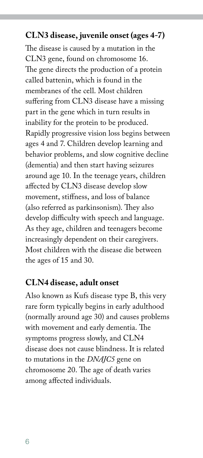### **CLN3 disease, juvenile onset (ages 4-7)**

The disease is caused by a mutation in the CLN3 gene, found on chromosome 16. The gene directs the production of a protein called battenin, which is found in the membranes of the cell. Most children suffering from CLN3 disease have a missing part in the gene which in turn results in inability for the protein to be produced. Rapidly progressive vision loss begins between ages 4 and 7. Children develop learning and behavior problems, and slow cognitive decline (dementia) and then start having seizures around age 10. In the teenage years, children affected by CLN3 disease develop slow movement, stiffness, and loss of balance (also referred as parkinsonism). They also develop difficulty with speech and language. As they age, children and teenagers become increasingly dependent on their caregivers. Most children with the disease die between the ages of 15 and 30.

#### **CLN4 disease, adult onset**

Also known as Kufs disease type B, this very rare form typically begins in early adulthood (normally around age 30) and causes problems with movement and early dementia. The symptoms progress slowly, and CLN4 disease does not cause blindness. It is related to mutations in the *DNAJC5* gene on chromosome 20. The age of death varies among affected individuals.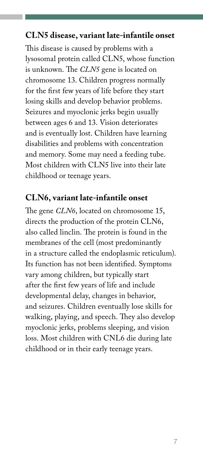### **CLN5 disease, variant late-infantile onset**

This disease is caused by problems with a lysosomal protein called CLN5, whose function is unknown. The *CLN5* gene is located on chromosome 13. Children progress normally for the first few years of life before they start losing skills and develop behavior problems. Seizures and myoclonic jerks begin usually between ages 6 and 13. Vision deteriorates and is eventually lost. Children have learning disabilities and problems with concentration and memory. Some may need a feeding tube. Most children with CLN5 live into their late childhood or teenage years.

#### **CLN6, variant late-infantile onset**

The gene *CLN6*, located on chromosome 15, directs the production of the protein CLN6, also called linclin. The protein is found in the membranes of the cell (most predominantly in a structure called the endoplasmic reticulum). Its function has not been identified. Symptoms vary among children, but typically start after the first few years of life and include developmental delay, changes in behavior, and seizures. Children eventually lose skills for walking, playing, and speech. They also develop myoclonic jerks, problems sleeping, and vision loss. Most children with CNL6 die during late childhood or in their early teenage years.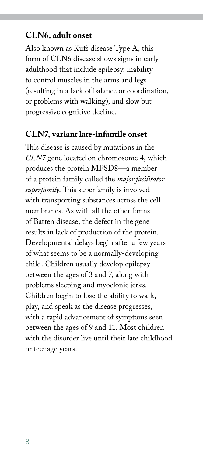### **CLN6, adult onset**

Also known as Kufs disease Type A, this form of CLN6 disease shows signs in early adulthood that include epilepsy, inability to control muscles in the arms and legs (resulting in a lack of balance or coordination, or problems with walking), and slow but progressive cognitive decline.

#### **CLN7, variant late-infantile onset**

This disease is caused by mutations in the *CLN7* gene located on chromosome 4, which produces the protein MFSD8—a member of a protein family called the *major facilitator superfamily*. This superfamily is involved with transporting substances across the cell membranes. As with all the other forms of Batten disease, the defect in the gene results in lack of production of the protein. Developmental delays begin after a few years of what seems to be a normally-developing child. Children usually develop epilepsy between the ages of 3 and 7, along with problems sleeping and myoclonic jerks. Children begin to lose the ability to walk, play, and speak as the disease progresses, with a rapid advancement of symptoms seen between the ages of 9 and 11. Most children with the disorder live until their late childhood or teenage years.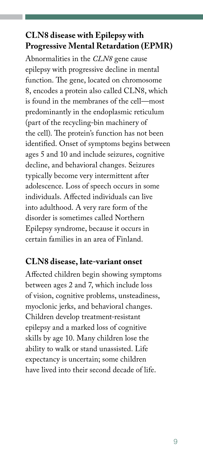# **CLN8 disease with Epilepsy with Progressive Mental Retardation (EPMR)**

Abnormalities in the *CLN8* gene cause epilepsy with progressive decline in mental function. The gene, located on chromosome 8, encodes a protein also called CLN8, which is found in the membranes of the cell—most predominantly in the endoplasmic reticulum (part of the recycling-bin machinery of the cell). The protein's function has not been identified. Onset of symptoms begins between ages 5 and 10 and include seizures, cognitive decline, and behavioral changes. Seizures typically become very intermittent after adolescence. Loss of speech occurs in some individuals. Affected individuals can live into adulthood. A very rare form of the disorder is sometimes called Northern Epilepsy syndrome, because it occurs in certain families in an area of Finland.

#### **CLN8 disease, late-variant onset**

Affected children begin showing symptoms between ages 2 and 7, which include loss of vision, cognitive problems, unsteadiness, myoclonic jerks, and behavioral changes. Children develop treatment-resistant epilepsy and a marked loss of cognitive skills by age 10. Many children lose the ability to walk or stand unassisted. Life expectancy is uncertain; some children have lived into their second decade of life.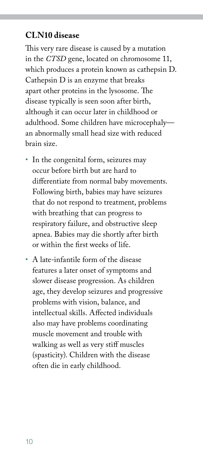### **CLN10 disease**

This very rare disease is caused by a mutation in the *CTSD* gene, located on chromosome 11, which produces a protein known as cathepsin D. Cathepsin D is an enzyme that breaks apart other proteins in the lysosome. The disease typically is seen soon after birth, although it can occur later in childhood or adulthood. Some children have microcephaly an abnormally small head size with reduced brain size.

- In the congenital form, seizures may occur before birth but are hard to differentiate from normal baby movements. Following birth, babies may have seizures that do not respond to treatment, problems with breathing that can progress to respiratory failure, and obstructive sleep apnea. Babies may die shortly after birth or within the first weeks of life.
- A late-infantile form of the disease features a later onset of symptoms and slower disease progression. As children age, they develop seizures and progressive problems with vision, balance, and intellectual skills. Affected individuals also may have problems coordinating muscle movement and trouble with walking as well as very stiff muscles (spasticity). Children with the disease often die in early childhood.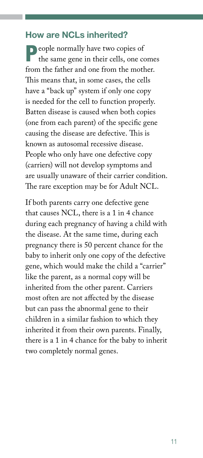### How are NCLs inherited?

**People normally have two copies of** the same gene in their cells, one comes from the father and one from the mother. This means that, in some cases, the cells have a "back up" system if only one copy is needed for the cell to function properly. Batten disease is caused when both copies (one from each parent) of the specific gene causing the disease are defective. This is known as autosomal recessive disease. People who only have one defective copy (carriers) will not develop symptoms and are usually unaware of their carrier condition. The rare exception may be for Adult NCL.

If both parents carry one defective gene that causes NCL, there is a 1 in 4 chance during each pregnancy of having a child with the disease. At the same time, during each pregnancy there is 50 percent chance for the baby to inherit only one copy of the defective gene, which would make the child a "carrier" like the parent, as a normal copy will be inherited from the other parent. Carriers most often are not affected by the disease but can pass the abnormal gene to their children in a similar fashion to which they inherited it from their own parents. Finally, there is a 1 in 4 chance for the baby to inherit two completely normal genes.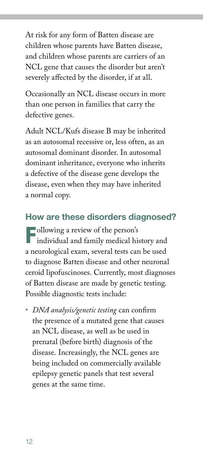At risk for any form of Batten disease are children whose parents have Batten disease, and children whose parents are carriers of an NCL gene that causes the disorder but aren't severely affected by the disorder, if at all.

Occasionally an NCL disease occurs in more than one person in families that carry the defective genes.

Adult NCL/Kufs disease B may be inherited as an autosomal recessive or, less often, as an autosomal dominant disorder. In autosomal dominant inheritance, everyone who inherits a defective of the disease gene develops the disease, even when they may have inherited a normal copy.

# How are these disorders diagnosed?

**Following a review of the person's T** individual and family medical history and a neurological exam, several tests can be used to diagnose Batten disease and other neuronal ceroid lipofuscinoses. Currently, most diagnoses of Batten disease are made by genetic testing. Possible diagnostic tests include:

• *DNA analysis/genetic testing* can confirm the presence of a mutated gene that causes an NCL disease, as well as be used in prenatal (before birth) diagnosis of the disease. Increasingly, the NCL genes are being included on commercially available epilepsy genetic panels that test several genes at the same time.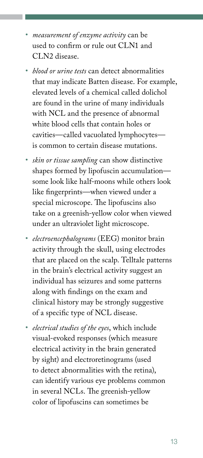- *measurement of enzyme activity* can be used to confirm or rule out CLN1 and CLN2 disease.
- *blood or urine tests* can detect abnormalities that may indicate Batten disease. For example, elevated levels of a chemical called dolichol are found in the urine of many individuals with NCL and the presence of abnormal white blood cells that contain holes or cavities—called vacuolated lymphocytes is common to certain disease mutations.
- *skin or tissue sampling* can show distinctive shapes formed by lipofuscin accumulation some look like half-moons while others look like fingerprints—when viewed under a special microscope. The lipofuscins also take on a greenish-yellow color when viewed under an ultraviolet light microscope.
- *electroencephalograms* (EEG) monitor brain activity through the skull, using electrodes that are placed on the scalp. Telltale patterns in the brain's electrical activity suggest an individual has seizures and some patterns along with findings on the exam and clinical history may be strongly suggestive of a specific type of NCL disease.
- *electrical studies of the eyes*, which include visual-evoked responses (which measure electrical activity in the brain generated by sight) and electroretinograms (used to detect abnormalities with the retina), can identify various eye problems common in several NCLs. The greenish-yellow color of lipofuscins can sometimes be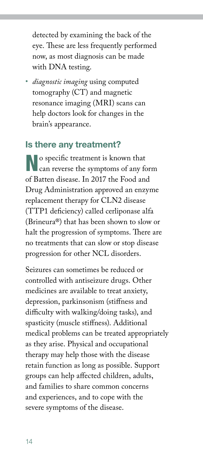detected by examining the back of the eye. These are less frequently performed now, as most diagnosis can be made with DNA testing.

• *diagnostic imaging* using computed tomography (CT) and magnetic resonance imaging (MRI) scans can help doctors look for changes in the brain's appearance.

# Is there any treatment?

No specific treatment is known that **N** can reverse the symptoms of any form of Batten disease. In 2017 the Food and Drug Administration approved an enzyme replacement therapy for CLN2 disease (TTP1 deficiency) called cerliponase alfa (Brineura®) that has been shown to slow or halt the progression of symptoms. There are no treatments that can slow or stop disease progression for other NCL disorders.

Seizures can sometimes be reduced or controlled with antiseizure drugs. Other medicines are available to treat anxiety, depression, parkinsonism (stiffness and difficulty with walking/doing tasks), and spasticity (muscle stiffness). Additional medical problems can be treated appropriately as they arise. Physical and occupational therapy may help those with the disease retain function as long as possible. Support groups can help affected children, adults, and families to share common concerns and experiences, and to cope with the severe symptoms of the disease.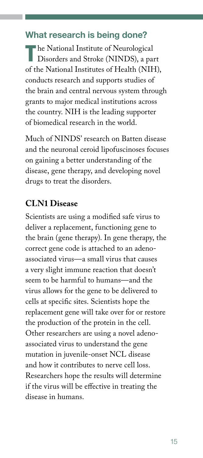# What research is being done?

The National Institute of Neurological<br>Disorders and Stroke (NINDS), a part of the National Institutes of Health (NIH), conducts research and supports studies of the brain and central nervous system through grants to major medical institutions across the country. NIH is the leading supporter of biomedical research in the world.

Much of NINDS' research on Batten disease and the neuronal ceroid lipofuscinoses focuses on gaining a better understanding of the disease, gene therapy, and developing novel drugs to treat the disorders.

# **CLN1 Disease**

Scientists are using a modified safe virus to deliver a replacement, functioning gene to the brain (gene therapy). In gene therapy, the correct gene code is attached to an adenoassociated virus—a small virus that causes a very slight immune reaction that doesn't seem to be harmful to humans—and the virus allows for the gene to be delivered to cells at specific sites. Scientists hope the replacement gene will take over for or restore the production of the protein in the cell. Other researchers are using a novel adenoassociated virus to understand the gene mutation in juvenile-onset NCL disease and how it contributes to nerve cell loss. Researchers hope the results will determine if the virus will be effective in treating the disease in humans.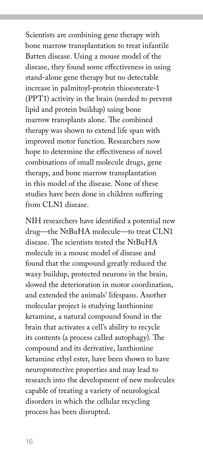Scientists are combining gene therapy with bone marrow transplantation to treat infantile Batten disease. Using a mouse model of the disease, they found some effectiveness in using stand-alone gene therapy but no detectable increase in palmitoyl-protein thioesterate-1 (PPT1) activity in the brain (needed to prevent lipid and protein buildup) using bone marrow transplants alone. The combined therapy was shown to extend life span with improved motor function. Researchers now hope to determine the effectiveness of novel combinations of small molecule drugs, gene therapy, and bone marrow transplantation in this model of the disease. None of these studies have been done in children suffering from CLN1 disease.

NIH researchers have identified a potential new drug—the NtBuHA molecule—to treat CLN1 disease. The scientists tested the NtBuHA molecule in a mouse model of disease and found that the compound greatly reduced the waxy buildup, protected neurons in the brain, slowed the deterioration in motor coordination, and extended the animals' lifespans. Another molecular project is studying lanthionine ketamine, a natural compound found in the brain that activates a cell's ability to recycle its contents (a process called autophagy). The compound and its derivative, lanthionine ketamine ethyl ester, have been shown to have neuroprotective properties and may lead to research into the development of new molecules capable of treating a variety of neurological disorders in which the cellular recycling process has been disrupted.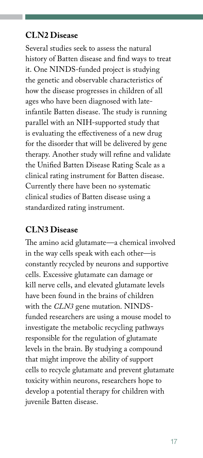### **CLN2 Disease**

Several studies seek to assess the natural history of Batten disease and find ways to treat it. One NINDS-funded project is studying the genetic and observable characteristics of how the disease progresses in children of all ages who have been diagnosed with lateinfantile Batten disease. The study is running parallel with an NIH-supported study that is evaluating the effectiveness of a new drug for the disorder that will be delivered by gene therapy. Another study will refine and validate the Unified Batten Disease Rating Scale as a clinical rating instrument for Batten disease. Currently there have been no systematic clinical studies of Batten disease using a standardized rating instrument.

# **CLN3 Disease**

The amino acid glutamate—a chemical involved in the way cells speak with each other—is constantly recycled by neurons and supportive cells. Excessive glutamate can damage or kill nerve cells, and elevated glutamate levels have been found in the brains of children with the *CLN3* gene mutation. NINDSfunded researchers are using a mouse model to investigate the metabolic recycling pathways responsible for the regulation of glutamate levels in the brain. By studying a compound that might improve the ability of support cells to recycle glutamate and prevent glutamate toxicity within neurons, researchers hope to develop a potential therapy for children with juvenile Batten disease.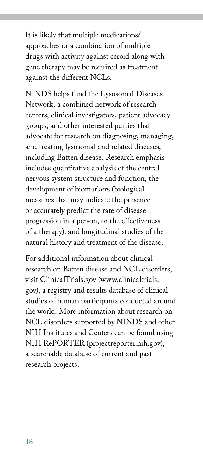It is likely that multiple medications/ approaches or a combination of multiple drugs with activity against ceroid along with gene therapy may be required as treatment against the different NCLs.

NINDS helps fund the Lysosomal Diseases Network, a combined network of research centers, clinical investigators, patient advocacy groups, and other interested parties that advocate for research on diagnosing, managing, and treating lysosomal and related diseases, including Batten disease. Research emphasis includes quantitative analysis of the central nervous system structure and function, the development of biomarkers (biological measures that may indicate the presence or accurately predict the rate of disease progression in a person, or the effectiveness of a therapy), and longitudinal studies of the natural history and treatment of the disease.

For additional information about clinical research on Batten disease and NCL disorders, visit ClinicalTrials.gov (www.clinicaltrials. [gov\), a registry and results database of clini](https://www.clinicaltrials.gov)cal studies of human participants conducted around the world. More information about research on NCL disorders supported by NINDS and other NIH Institutes and Centers can be found using NIH RePORTER [\(projectreporter.nih.gov](http://projectreporter.nih.gov)), a searchable database of current and past research projects.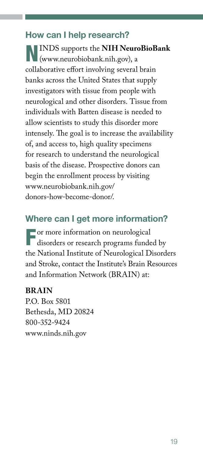# How can I help research?

NINDS supports the **NIH NeuroBioBank** [\(www.neurobiobank.nih.gov\)](http://www.neurobiobank.nih.gov), a collaborative effort involving several brain banks across the United States that supply investigators with tissue from people with neurological and other disorders. Tissue from individuals with Batten disease is needed to allow scientists to study this disorder more intensely. The goal is to increase the availability of, and access to, high quality specimens for research to understand the neurological basis of the disease. Prospective donors can begin the enrollment process by visiting [www.neurobiobank.nih.gov/](https://www.neurobiobank.nih.gov/donors-how-become-donor/) [donors-how-become-donor/](https://www.neurobiobank.nih.gov/donors-how-become-donor/).

#### Where can I get more information?

For more information on neurological disorders or research programs funded by the National Institute of Neurological Disorders and Stroke, contact the Institute's Brain Resources and Information Network (BRAIN) at:

#### **BRAIN**

P.O. Box 5801 Bethesda, MD 20824 800-352-9424 [www.ninds.nih.gov](http://www.ninds.nih.gov)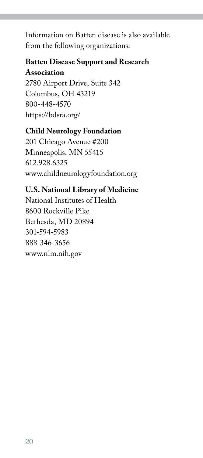Information on Batten disease is also available from the following organizations:

#### **Batten Disease Support and Research Association**

2780 Airport Drive, Suite 342 Columbus, OH 43219 800-448-4570 <https://bdsra.org/>

#### **Child Neurology Foundation**

201 Chicago Avenue #200 Minneapolis, MN 55415 612.928.6325 [www.childneurologyfoundation.org](http://www.childneurologyfoundation.org)

#### **U.S. National Library of Medicine**

National Institutes of Health 8600 Rockville Pike Bethesda, MD 20894 301-594-5983 888-346-3656 [www.nlm.nih.gov](http://www.nlm.nih.gov)